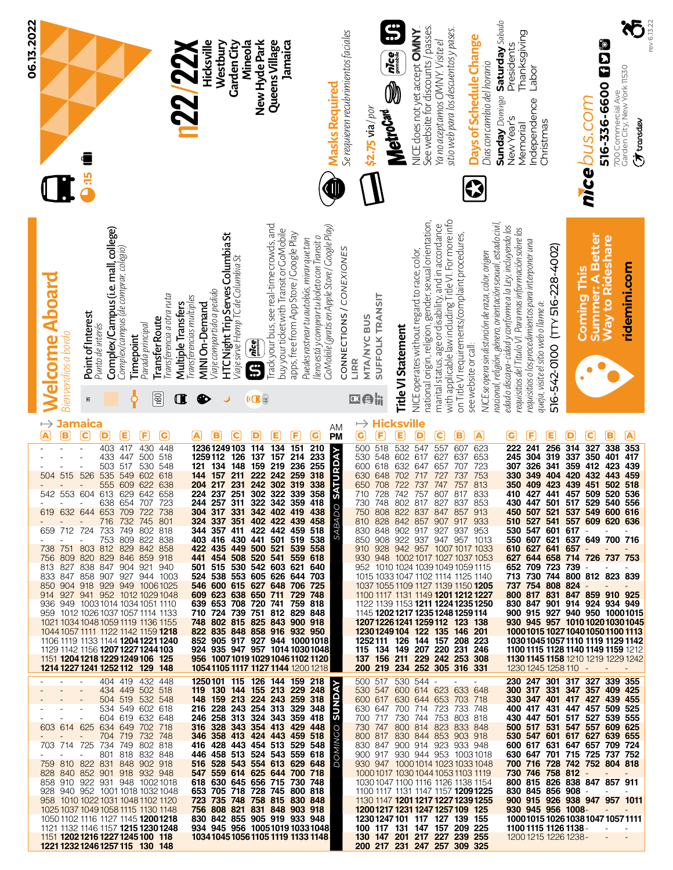| 06.13.2022<br><b>are</b>                                                                                                                                                                                                                                                                                                                                                                                                                                                                                                                                                                                                                                                                                                                                                                                                                                                                                                                                    | Queens Village<br>Hicksville<br>Mineola<br>New Hyde Park<br>Jamaica<br>Westbury<br><b>Garden City</b><br>22/22X                                                                                                                                                                                                                                                                                                                                                                                                                                                                                                                                                                                                                                                                                                                                                                                                                                                         | $\bf \ddot{S}$<br>See website for discounts / passes.<br>sitio web para los descuentos y pases.<br>NICE does not yet accept <b>OMINY</b><br>Se requieren recubrimientos faciales<br>Days of Schedule Change<br>Ya no aceptamos OMNY. Visite el<br>$\left  \vec{m} \right $<br>Dias con cambio del horario<br>$\overline{\mathbb{Q}}$<br><b>Masks Required</b><br>\$2.75 via / por<br>MetroCard                                                                                                                                                                                                                                                                                                                                                                                                                                                                                                                                                                                                                                                                                                                                           | Sunday Domingo Saturday Sabado<br>rev 6.13.22<br>Thanksgiving<br>io<br>D<br>D<br>Presidents<br>Labor<br>700 Commercial Ave<br>Garden City, New York 11530<br>516-336-6600<br>Independence<br>nice bus.com<br>New Year's<br>Christmas<br>$\sigma$ transdev<br>Memorial                                                                                                                                                                                                                                                                                                                                                                                                                                                                                                                                                                                                                                                                                                                                                                |
|-------------------------------------------------------------------------------------------------------------------------------------------------------------------------------------------------------------------------------------------------------------------------------------------------------------------------------------------------------------------------------------------------------------------------------------------------------------------------------------------------------------------------------------------------------------------------------------------------------------------------------------------------------------------------------------------------------------------------------------------------------------------------------------------------------------------------------------------------------------------------------------------------------------------------------------------------------------|-------------------------------------------------------------------------------------------------------------------------------------------------------------------------------------------------------------------------------------------------------------------------------------------------------------------------------------------------------------------------------------------------------------------------------------------------------------------------------------------------------------------------------------------------------------------------------------------------------------------------------------------------------------------------------------------------------------------------------------------------------------------------------------------------------------------------------------------------------------------------------------------------------------------------------------------------------------------------|------------------------------------------------------------------------------------------------------------------------------------------------------------------------------------------------------------------------------------------------------------------------------------------------------------------------------------------------------------------------------------------------------------------------------------------------------------------------------------------------------------------------------------------------------------------------------------------------------------------------------------------------------------------------------------------------------------------------------------------------------------------------------------------------------------------------------------------------------------------------------------------------------------------------------------------------------------------------------------------------------------------------------------------------------------------------------------------------------------------------------------------|--------------------------------------------------------------------------------------------------------------------------------------------------------------------------------------------------------------------------------------------------------------------------------------------------------------------------------------------------------------------------------------------------------------------------------------------------------------------------------------------------------------------------------------------------------------------------------------------------------------------------------------------------------------------------------------------------------------------------------------------------------------------------------------------------------------------------------------------------------------------------------------------------------------------------------------------------------------------------------------------------------------------------------------|
| Complex/Campus (i.e. mall, college)<br>Complex/campus (de comprar, colegio)<br><b>Nelcome Aboard</b><br>I ransterencia a otra ruta<br>Multiple Transfers<br>Point of Interest<br><b>Transfer Route</b><br>Parada principal<br>Punto de interés<br>Bienvendios a bordo<br><b>Timepoint</b><br>p<br>Œ<br>Ϙ<br>$\qquad \qquad \Box$                                                                                                                                                                                                                                                                                                                                                                                                                                                                                                                                                                                                                            | Fackyour bus, see real-time crowds, and<br>CoMobile (gratis en Apple Store / Coogle Play)<br>buy your ticket with Transit or GoMobile<br><b>HTC Night Trip Serves Columbia St</b><br>Viajesirve Hemp TC de Columbia St<br>apps, free from App Store / Google Play<br>lleno está y comprar tu boleto con Transit o<br>Puedes rastrear tu autobús, mirar que tan<br>Viaje compartido a pedido<br>Transferencias multiples<br>MINI On-Demand<br>$\left  \vec{m}_{\text{core}} \right $<br>S<br>❸<br>$\mathbf{u}$ :                                                                                                                                                                                                                                                                                                                                                                                                                                                         | with applicable law including Title VI. For more info<br>national origin, religion, gender, sexual orientation,<br>marital status, age or disability, and in accordance<br>on Title VI requirements/complaint procedures,<br>CONNECTIONS / CONEXIONES<br>NICE operates without regard to race, color,<br>NICE se opera sin distinción de raza, color, origen<br><b>SUFFOLK TRANSIT</b><br><b>MTA/NYC BUS</b><br>Title VI Statement<br>see website or call:<br>LIRR<br>区目前                                                                                                                                                                                                                                                                                                                                                                                                                                                                                                                                                                                                                                                                | nacional, religión, género, orientación sexual, estado civil,<br>edad o discapa-cidad y conforme a la Ley, incluyendo los<br>requisitios del Titulo VI. Para mas información sobre los<br>Summer: A Better<br><b>Nay to Rideshare</b><br>requisitios o los procedimientos para interponer una<br>516-542-0100 (TTY 516-228-4002)<br>ridemini.com<br>Coming This<br>queja, visite el sitio web o llame a:                                                                                                                                                                                                                                                                                                                                                                                                                                                                                                                                                                                                                             |
| $\mapsto$<br><b>Jamaica</b><br>$\overline{\mathbf{A}}$<br>$\overline{\mathbf{c}}$<br>G<br>B<br>D<br>Ε<br>F<br>430<br>448<br>403<br>417<br>433<br>500<br>518<br>548<br>447<br>503<br>517<br>530<br>526<br>51<br>535<br>549<br>618<br>602<br>5<br>638<br>555<br>609<br>622<br>553<br>613<br>658<br>542<br>604<br>629<br>642<br>638<br>707<br>723<br>654<br>632 644 653 709 722 738<br>716 732 745 801<br>659 712 724 733 749 802 818<br>753 809 822 838<br>738 751 803 812 829 842 858<br>756 809 820 829 846 859 918<br>813 827 838 847 904 921 940<br>833 847 858 907 927 944 1003<br>850 904 918 929 949 10061025<br>914 927 941 952 1012 1029 1048<br>936 949 1003 1014 1034 1051 1110<br>959 1012 1026 1037 1057 1114 1133<br>1021 1034 1048 1059 1119 1136 1155<br>1044 1057 1111 1122 1142 1159 1218<br>1106 1119 1133 1144 1204 1221 1240<br>1129 1142 1156 1207 1227 1244 103<br>1151 1204 1218 1229 1249 106 125<br>1214 1227 1241 1252 112 129 148 | C)<br>A<br>c<br>D<br>Е<br>F<br>в<br>210<br>12361249103<br>114<br>134<br>151<br>214<br>233<br>126<br>137<br>1259112<br>157<br>255<br>236<br>259<br>219<br>159<br>121<br>134<br>148<br>222<br>242<br>318<br>144<br>157<br>211<br>302<br>319<br>338<br>358<br>204<br>242<br>217<br>231<br>322<br>339<br>359<br>224<br>237<br>251<br>311<br>302<br>244<br>257<br>342<br>322<br>418<br>304 317 331 342 402 419 438<br>324 337 351 402 422 439 458<br>344 357 411 422 442 459 518<br>403 416 430 441 501 519 538<br>422 435 449 500 521 539 558<br>441 454 508 520 541 559 618<br>501 515 530 542 603 621 640<br>524 538 553 605 626 644 703<br>546 600 615 627 648 706 725<br>609 623 638 650 711 729 748<br>639 653 708 720 741 759 818<br>710 724 739 751 812 829 848<br>748 802 815 825 843 900 918<br>822 835 848 858 916 932 950<br>852 905 917 927 944 10001018<br>924 935 947 957 1014 1030 1048<br>956 100710191029104611021120<br>10541105 1117 1127 1144 1200 1218 | sville<br>Hic<br>$\mapsto$<br>AM<br>PM<br>$\overline{\mathbf{G}}$<br>E<br>D<br>$\bf C$<br>F<br>в<br>A<br>518<br>532<br>547<br>557<br>623<br>500<br>607<br><b>O SATURDAY</b><br>530<br>548<br>602<br>617<br>627<br>653<br>637<br>618<br>600<br>632<br>647<br>723<br>657<br>707<br>753<br>648<br>630<br>702<br>717<br>727<br>737<br>757<br>813<br>650<br>708<br>722<br>737<br>747<br>833<br>742<br>757<br>807<br>728<br>817<br>710<br>730<br>817<br>853<br>748<br>802<br>827<br>837<br>750 808 822 837 847 857 913<br>ABAD<br>810 828 842 857 907 917 933<br>830 848 902 917 927 937 953<br>S<br>850 908 922 937 947 957 1013<br>910 928 942 957 1007 1017 1033<br>930 948 1002 1017 1027 1037 1053<br>952 1010 1024 1039 1049 1059 1115<br>1015 1033 1047 1102 1114 1125 1140<br>1037 1055 1109 1127 1139 1150 1205<br>1100 1117 1131 1149 1201 1212 1227<br>1122 1139 1153 1211 1224 1235 1250<br>1145 <b>1202 1217 1235 1248 1259 114</b><br>1207 1226 1241 1259 112 123 138<br>12301249104 122 135 146 201<br>1252111 126 144 157 208 223<br>115 134 149 207 220 231 246<br>137 156 211 229 242 253 308<br>200 219 234 252 305 316 331 | G<br>Е<br>С<br>в<br>A<br>F<br>D<br>327<br>353<br>222<br>241<br>256<br>314<br>338<br>245<br>304<br>319<br>337<br>350<br>417<br>401<br>326<br>341<br>359<br>439<br>307<br>412<br>423<br>459<br>404<br>330<br>349<br>420<br>432<br>443<br>518<br>409<br>423<br>451<br>350<br>439<br>502<br>441<br>509<br>536<br>457<br>520<br>410<br>427<br>501<br>517<br>529<br>556<br>430<br>447<br>540<br>450 507 521 537 549 600 616<br>510 527 541 557 609 620 636<br>530 547 601 617 -<br><b>Contract Contract</b><br>550 607 621 637 649 700 716<br>610 627 641 657 -<br>$\sim 100$<br>627 644 658 714 726 737 753<br>652 709 723 739 -<br><b>Contract Contract</b><br>$\sim$<br>713 730 744 800 812 823 839<br>737 754 808 824 -<br>800 817 831 847 859 910 925<br>830 847 901 914 924 934 949<br>900 915 927 940 950 10001015<br>930 945 957 1010 1020 1030 1045<br>1000101510271040105011001113<br>1030104510571110 1119 1129 1142<br>1100 1115 1128 1140 1149 1159 1212<br><b>1130 1145 1158</b> 1210 1219 1229 1242<br>1230 1245 1258 110 - |
| 404 419 432 448<br>$\overline{\phantom{a}}$<br>434 449 502 518<br>504 519 532 548<br>534 549 602 618<br>604 619 632 648<br>$\overline{\phantom{a}}$<br>603 614 625 634 649 702 718<br>704 719 732 748<br>703 714 725 734 749 802 818<br>801 818 832 848<br>759 810 822 831 848 902 918<br>828 840 852 901 918 932 948<br>858 910 922 931 948 10021018<br>928 940 952 1001 1018 1032 1048<br>958 1010 1022 1031 1048 1102 1120<br>1025 1037 1049 1058 1115 1130 1148<br>1050 1102 1116 1127 1145 <b>1200 1218</b><br>1121 1132 1146 1157 <b>1215 1230 1248</b><br>1151 1202 1216 1227 1245 100 118<br>1221 1232 1246 1257 115 130 148                                                                                                                                                                                                                                                                                                                        | 1250101 115 126 144 159 218<br>119 130 144 155 213 229 248<br>148 159 213 224 243 259 318<br>216 228 243 254 313 329 348<br>246 258 313 324 343 359 418<br>316 328 343 354 413 429 448<br>346 358 413 424 443 459 518<br>416 428 443 454 513 529 548<br>446 458 513 524 543 559 618<br>516 528 543 554 613 629 648<br>547 559 614 625 644 700 718<br>618 630 645 656 715 730 748<br>653 705 718 728 745 800 818<br>723 735 748 758 815 830 848<br>756 808 821 831 848 903 918<br>830 842 855 905 919 933 948<br>934 945 956 10051019 10331048<br>1034104510561105111911331148                                                                                                                                                                                                                                                                                                                                                                                           | 500 517 530 544 -<br><b>AVOI</b><br>530 547 600 614 623 633 648<br>600 617 630 644 653 703 718<br><b>INUS</b><br>630 647 700 714 723 733 748<br>700 717 730 744 753 803 818<br>730 747 800 814 823 833 848<br><b>DOMINGO</b><br>800 817 830 844 853 903 918<br>830 847 900 914 923 933 948<br>900 917 930 944 953 10031018<br>930 947 10001014 1023 1033 1048<br>10001017 1030 1044 1053 1103 1119<br>1030 1047 1100 1116 1126 1138 1154<br>1100 1117 1131 1147 1157 <b>1209 1225</b><br>1130 1147 <b>1201 1217 1227 1239 1255</b><br>12001217 1231 1247 1257 109 125<br>12301247101 117 127 139 155<br>100 117 131 147 157 209 225<br>130 147 201 217 227 239 255<br>200 217 231 247 257 309 325                                                                                                                                                                                                                                                                                                                                                                                                                                        | 230 247 301 317 327 339 355<br>300 317 331 347 357 409 425<br>330 347 401 417 427 439 455<br>400 417 431 447 457 509 525<br>430 447 501 517 527 539 555<br>500 517 531 547 557 609 625<br>530 547 601 617 627 639 655<br>600 617 631 647 657 709 724<br>630 647 701 715 725 737 752<br>700 716 728 742 752 804 818<br>730 746 758 812 -<br>800 815 826 838 847 857 911<br>830 845 856 908 -<br>$\omega_{\rm{max}}$<br>900 915 926 938 947 957 1011<br>930 945 956 1008-<br>10001015 1026 1038 1047 1057 1111<br>1100 1115 1126 1138 -<br>1200 1215 1226 1238 -<br>$\overline{\phantom{a}}$                                                                                                                                                                                                                                                                                                                                                                                                                                           |